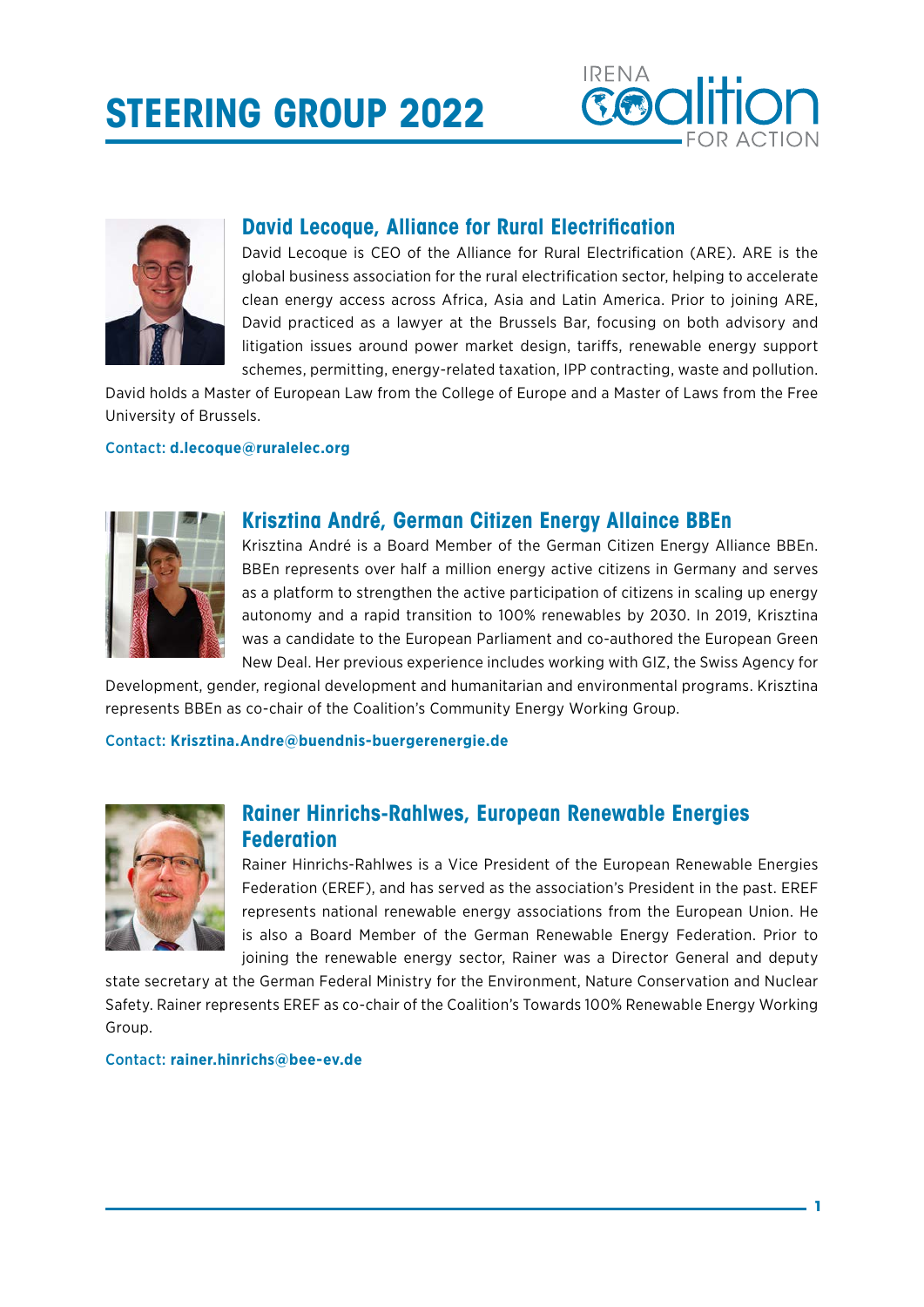# **STEERING GROUP 2022**





# **David Lecoque, Alliance for Rural Electrification**

David Lecoque is CEO of the Alliance for Rural Electrification (ARE). ARE is the global business association for the rural electrification sector, helping to accelerate clean energy access across Africa, Asia and Latin America. Prior to joining ARE, David practiced as a lawyer at the Brussels Bar, focusing on both advisory and litigation issues around power market design, tariffs, renewable energy support schemes, permitting, energy-related taxation, IPP contracting, waste and pollution.

David holds a Master of European Law from the College of Europe and a Master of Laws from the Free University of Brussels.

## Contact: **[d.lecoque@ruralelec.org](mailto:d.lecoque%40ruralelec.org%20?subject=)**



## **Krisztina André, German Citizen Energy Allaince BBEn**

Krisztina André is a Board Member of the German Citizen Energy Alliance BBEn. BBEn represents over half a million energy active citizens in Germany and serves as a platform to strengthen the active participation of citizens in scaling up energy autonomy and a rapid transition to 100% renewables by 2030. In 2019, Krisztina was a candidate to the European Parliament and co-authored the European Green New Deal. Her previous experience includes working with GIZ, the Swiss Agency for

Development, gender, regional development and humanitarian and environmental programs. Krisztina represents BBEn as co-chair of the Coalition's Community Energy Working Group.

#### Contact: **[Krisztina.Andre@buendnis-buergerenergie.de](mailto:Krisztina.Andre%40buendnis-buergerenergie.de?subject=)**



# **Rainer Hinrichs-Rahlwes, European Renewable Energies Federation**

Rainer Hinrichs-Rahlwes is a Vice President of the European Renewable Energies Federation (EREF), and has served as the association's President in the past. EREF represents national renewable energy associations from the European Union. He is also a Board Member of the German Renewable Energy Federation. Prior to joining the renewable energy sector, Rainer was a Director General and deputy

state secretary at the German Federal Ministry for the Environment, Nature Conservation and Nuclear Safety. Rainer represents EREF as co-chair of the Coalition's Towards 100% Renewable Energy Working Group.

#### Contact: **[rainer.hinrichs@bee-ev.de](mailto:rainer.hinrichs%40bee-ev.de?subject=)**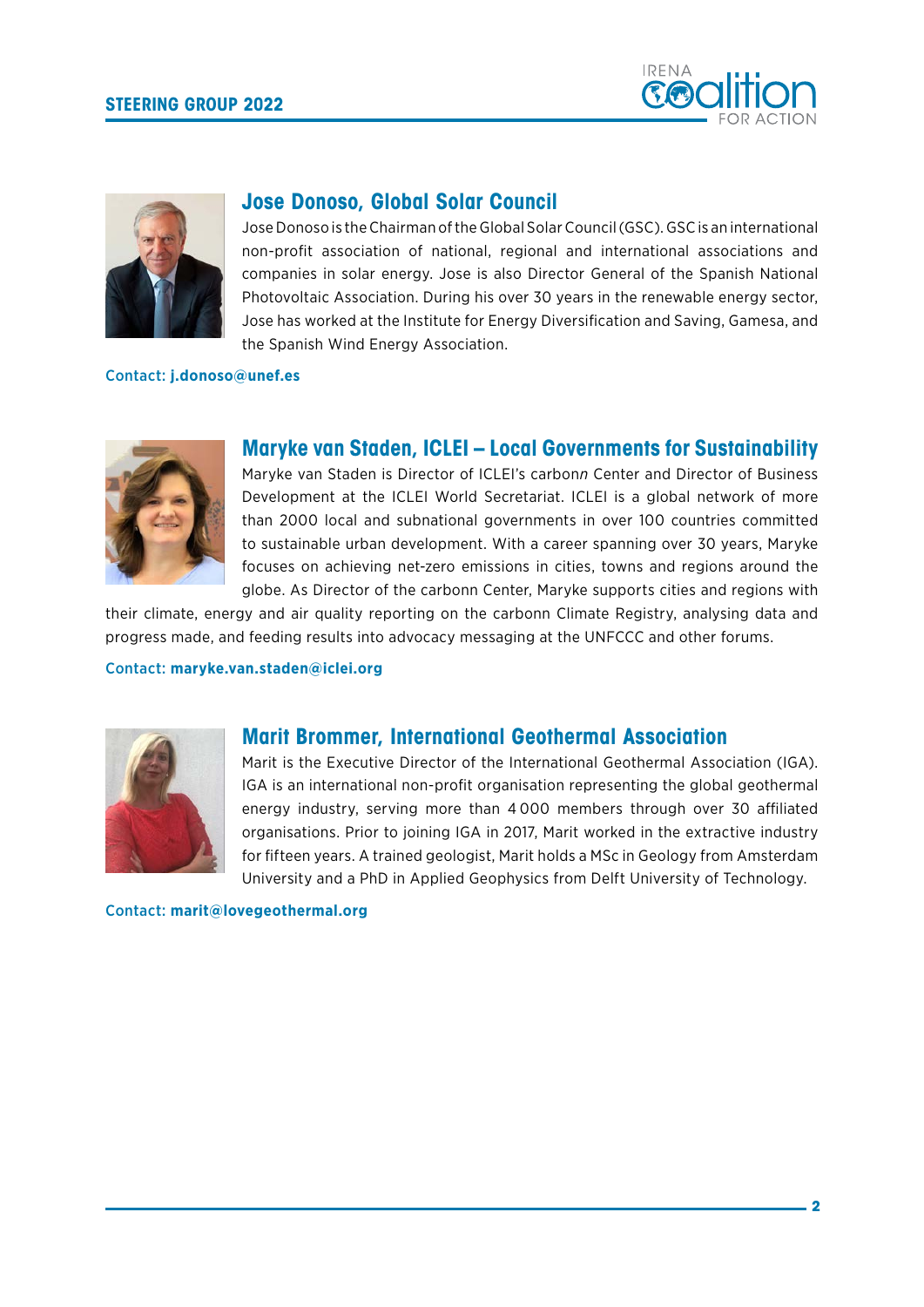



## **Jose Donoso, Global Solar Council**

Jose Donoso is the Chairman of the Global Solar Council (GSC). GSC is an international non-profit association of national, regional and international associations and companies in solar energy. Jose is also Director General of the Spanish National Photovoltaic Association. During his over 30 years in the renewable energy sector, Jose has worked at the Institute for Energy Diversification and Saving, Gamesa, and the Spanish Wind Energy Association.

## Contact: **[j.donoso@unef.es](mailto:j.donoso%40unef.es?subject=)**



## **Maryke van Staden, ICLEI – Local Governments for Sustainability**

Maryke van Staden is Director of ICLEI's carbon*n* Center and Director of Business Development at the ICLEI World Secretariat. ICLEI is a global network of more than 2000 local and subnational governments in over 100 countries committed to sustainable urban development. With a career spanning over 30 years, Maryke focuses on achieving net-zero emissions in cities, towns and regions around the globe. As Director of the carbonn Center, Maryke supports cities and regions with

their climate, energy and air quality reporting on the carbonn Climate Registry, analysing data and progress made, and feeding results into advocacy messaging at the UNFCCC and other forums.

Contact: **[maryke.van.staden@iclei.org](mailto:maryke.van.staden%40iclei.org?subject=)**



## **Marit Brommer, International Geothermal Association**

Marit is the Executive Director of the International Geothermal Association (IGA). IGA is an international non-profit organisation representing the global geothermal energy industry, serving more than 4 000 members through over 30 affiliated organisations. Prior to joining IGA in 2017, Marit worked in the extractive industry for fifteen years. A trained geologist, Marit holds a MSc in Geology from Amsterdam University and a PhD in Applied Geophysics from Delft University of Technology.

Contact: **[marit@lovegeothermal.org](mailto:marit%40lovegeothermal.org?subject=)**